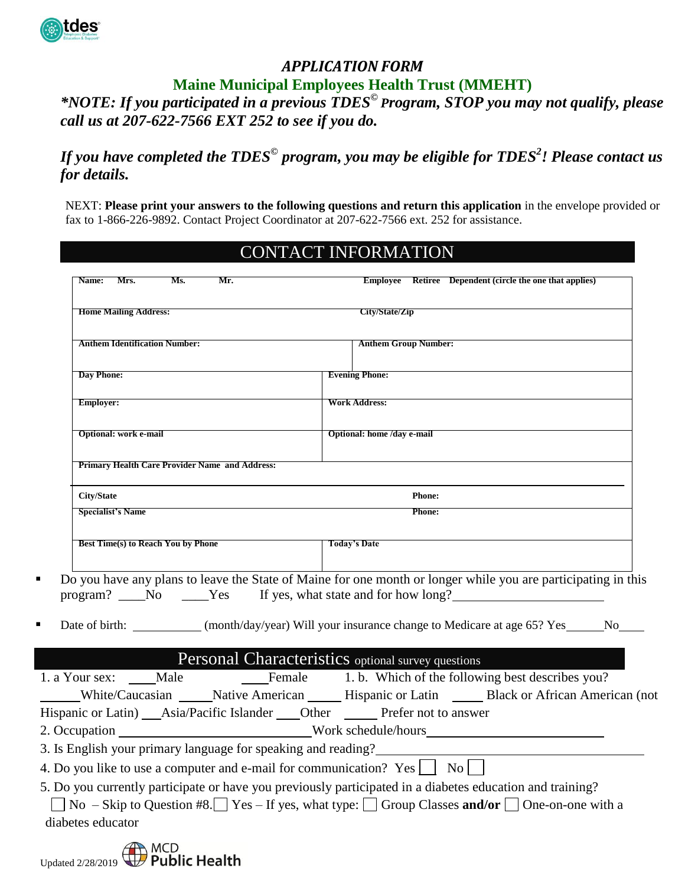

# *APPLICATION FORM* **Maine Municipal Employees Health Trust (MMEHT)**

*\*NOTE: If you participated in a previous TDES© Program, STOP you may not qualify, please call us at 207-622-7566 EXT 252 to see if you do.*

# *If you have completed the TDES© program, you may be eligible for TDES<sup>2</sup> ! Please contact us for details.*

NEXT: **Please print your answers to the following questions and return this application** in the envelope provided or fax to 1-866-226-9892. Contact Project Coordinator at 207-622-7566 ext. 252 for assistance.

|                                                       | <b>CONTACT INFORMATION</b>                                                                                                                                                 |  |
|-------------------------------------------------------|----------------------------------------------------------------------------------------------------------------------------------------------------------------------------|--|
| Ms.<br>Mrs.<br>Mr.<br>Name:                           | Employee Retiree Dependent (circle the one that applies)                                                                                                                   |  |
| <b>Home Mailing Address:</b>                          | City/State/Zip                                                                                                                                                             |  |
| <b>Anthem Identification Number:</b>                  | <b>Anthem Group Number:</b>                                                                                                                                                |  |
| <b>Day Phone:</b>                                     | <b>Evening Phone:</b>                                                                                                                                                      |  |
| <b>Employer:</b>                                      | <b>Work Address:</b>                                                                                                                                                       |  |
| <b>Optional: work e-mail</b>                          | Optional: home /day e-mail                                                                                                                                                 |  |
| <b>Primary Health Care Provider Name and Address:</b> |                                                                                                                                                                            |  |
| <b>City/State</b>                                     | <b>Phone:</b>                                                                                                                                                              |  |
| <b>Specialist's Name</b>                              | <b>Phone:</b>                                                                                                                                                              |  |
| Best Time(s) to Reach You by Phone                    | <b>Today's Date</b>                                                                                                                                                        |  |
|                                                       | Do you have any plans to leave the State of Maine for one month or longer while you are participating in this<br>program? No Ness Yes If yes, what state and for how long? |  |
|                                                       | Date of birth: (month/day/year) Will your insurance change to Medicare at age 65? Yes No                                                                                   |  |
|                                                       | Personal Characteristics optional survey questions                                                                                                                         |  |
| 1. a Your sex: _____Male                              | Female 1. b. Which of the following best describes you?                                                                                                                    |  |
|                                                       | White/Caucasian Mative American Hispanic or Latin Black or African American (not                                                                                           |  |
|                                                       | Hispanic or Latin) _____ Asia/Pacific Islander _______ Other ___________ Prefer not to answer                                                                              |  |
| 2. Occupation                                         | Work schedule/hours                                                                                                                                                        |  |

3. Is English your primary language for speaking and reading?

4. Do you like to use a computer and e-mail for communication? Yes  $\vert$  No  $\vert$ 

5. Do you currently participate or have you previously participated in a diabetes education and training? No – Skip to Question #8. Yes – If yes, what type: Group Classes **and/or** One-on-one with a diabetes educator

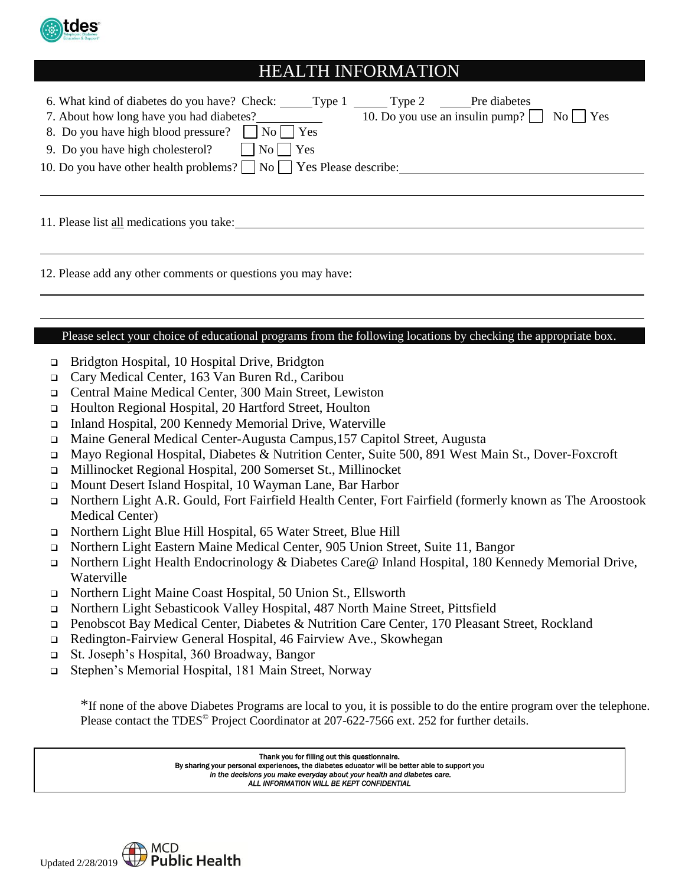

# HEALTH INFORMATION

| 10. Do you use an insulin pump? $\Box$ No $\Box$ Yes<br>7. About how long have you had diabetes?<br>8. Do you have high blood pressure?     No     Yes<br>9. Do you have high cholesterol? $\Box$ No $\Box$ Yes<br>10. Do you have other health problems? $\Box$ No $\Box$ Yes Please describe: |  |
|-------------------------------------------------------------------------------------------------------------------------------------------------------------------------------------------------------------------------------------------------------------------------------------------------|--|
| 11. Please list all medications you take:                                                                                                                                                                                                                                                       |  |

12. Please add any other comments or questions you may have:

#### Please select your choice of educational programs from the following locations by checking the appropriate box.

- □ Bridgton Hospital, 10 Hospital Drive, Bridgton
- Cary Medical Center, 163 Van Buren Rd., Caribou
- Central Maine Medical Center, 300 Main Street, Lewiston
- □ Houlton Regional Hospital, 20 Hartford Street, Houlton
- Inland Hospital, 200 Kennedy Memorial Drive, Waterville
- Maine General Medical Center-Augusta Campus,157 Capitol Street, Augusta
- Mayo Regional Hospital, Diabetes & Nutrition Center, Suite 500, 891 West Main St., Dover-Foxcroft
- Millinocket Regional Hospital, 200 Somerset St., Millinocket
- Mount Desert Island Hospital, 10 Wayman Lane, Bar Harbor
- Northern Light A.R. Gould, Fort Fairfield Health Center, Fort Fairfield (formerly known as The Aroostook Medical Center)
- Northern Light Blue Hill Hospital, 65 Water Street, Blue Hill
- Northern Light Eastern Maine Medical Center, 905 Union Street, Suite 11, Bangor
- Northern Light Health Endocrinology & Diabetes Care@ Inland Hospital, 180 Kennedy Memorial Drive, Waterville
- Northern Light Maine Coast Hospital, 50 Union St., Ellsworth
- Northern Light Sebasticook Valley Hospital, 487 North Maine Street, Pittsfield
- □ Penobscot Bay Medical Center, Diabetes & Nutrition Care Center, 170 Pleasant Street, Rockland
- □ Redington-Fairview General Hospital, 46 Fairview Ave., Skowhegan
- St. Joseph's Hospital, 360 Broadway, Bangor
- Stephen's Memorial Hospital, 181 Main Street, Norway

\*If none of the above Diabetes Programs are local to you, it is possible to do the entire program over the telephone. Please contact the TDES<sup>®</sup> Project Coordinator at 207-622-7566 ext. 252 for further details.

> Thank you for filling out this questionnaire. By sharing your personal experiences, the diabetes educator will be better able to support you *in the decisions you make everyday about your health and diabetes care. ALL INFORMATION WILL BE KEPT CONFIDENTIAL*

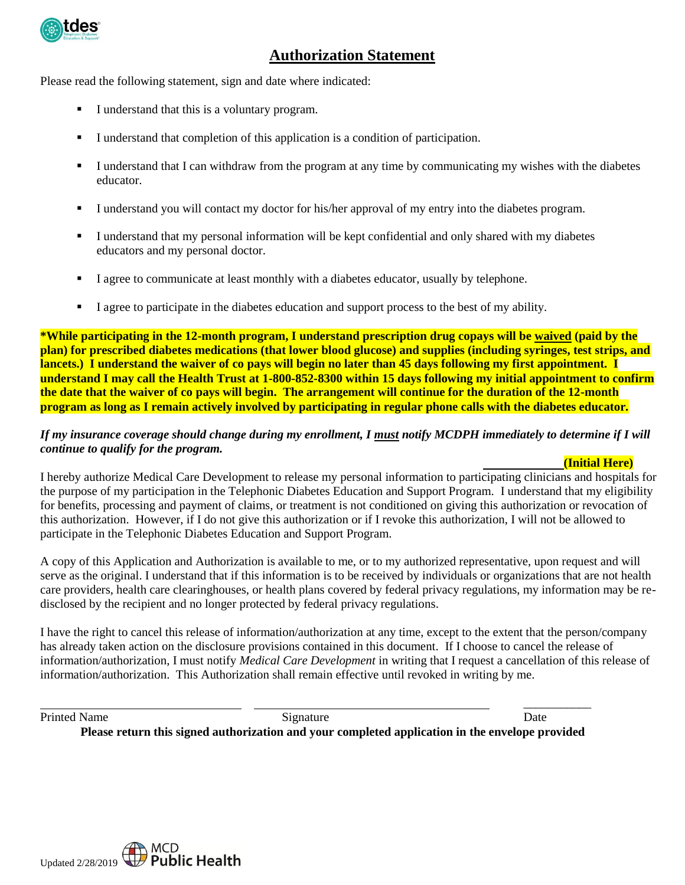

# **Authorization Statement**

Please read the following statement, sign and date where indicated:

- I understand that this is a voluntary program.
- I understand that completion of this application is a condition of participation.
- I understand that I can withdraw from the program at any time by communicating my wishes with the diabetes educator.
- I understand you will contact my doctor for his/her approval of my entry into the diabetes program.
- I understand that my personal information will be kept confidential and only shared with my diabetes educators and my personal doctor.
- I agree to communicate at least monthly with a diabetes educator, usually by telephone.
- I agree to participate in the diabetes education and support process to the best of my ability.

**\*While participating in the 12-month program, I understand prescription drug copays will be waived (paid by the plan) for prescribed diabetes medications (that lower blood glucose) and supplies (including syringes, test strips, and lancets.) I understand the waiver of co pays will begin no later than 45 days following my first appointment. I understand I may call the Health Trust at 1-800-852-8300 within 15 days following my initial appointment to confirm the date that the waiver of co pays will begin. The arrangement will continue for the duration of the 12-month program as long as I remain actively involved by participating in regular phone calls with the diabetes educator***.*

#### *If my insurance coverage should change during my enrollment, I must notify MCDPH immediately to determine if I will continue to qualify for the program.*

#### **(Initial Here)**

I hereby authorize Medical Care Development to release my personal information to participating clinicians and hospitals for the purpose of my participation in the Telephonic Diabetes Education and Support Program. I understand that my eligibility for benefits, processing and payment of claims, or treatment is not conditioned on giving this authorization or revocation of this authorization. However, if I do not give this authorization or if I revoke this authorization, I will not be allowed to participate in the Telephonic Diabetes Education and Support Program.

A copy of this Application and Authorization is available to me, or to my authorized representative, upon request and will serve as the original. I understand that if this information is to be received by individuals or organizations that are not health care providers, health care clearinghouses, or health plans covered by federal privacy regulations, my information may be redisclosed by the recipient and no longer protected by federal privacy regulations.

I have the right to cancel this release of information/authorization at any time, except to the extent that the person/company has already taken action on the disclosure provisions contained in this document. If I choose to cancel the release of information/authorization, I must notify *Medical Care Development* in writing that I request a cancellation of this release of information/authorization. This Authorization shall remain effective until revoked in writing by me.

 $\overline{\phantom{a}}$  , and the contract of the contract of the contract of the contract of the contract of the contract of the contract of the contract of the contract of the contract of the contract of the contract of the contrac

Printed Name Date Signature Date Date Date Date

**Please return this signed authorization and your completed application in the envelope provided**

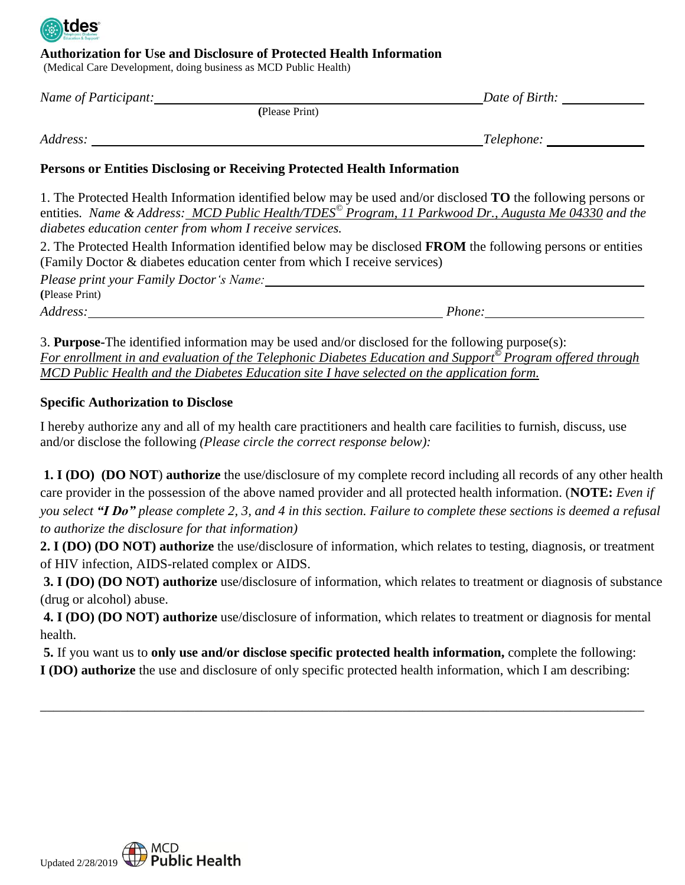

### **Authorization for Use and Disclosure of Protected Health Information**

(Medical Care Development, doing business as MCD Public Health)

| Name of Participant: |                | Date of Birth: |
|----------------------|----------------|----------------|
|                      | (Please Print) |                |
| Address:             |                | Telephone:     |

### **Persons or Entities Disclosing or Receiving Protected Health Information**

1. The Protected Health Information identified below may be used and/or disclosed **TO** the following persons or entities*. Name & Address: MCD Public Health/TDES© Program, 11 Parkwood Dr., Augusta Me 04330 and the diabetes education center from whom I receive services.*

2. The Protected Health Information identified below may be disclosed **FROM** the following persons or entities (Family Doctor & diabetes education center from which I receive services)

*Please print your Family Doctor's Name:* **(**Please Print)

*Address: Phone:*

3. **Purpose-**The identified information may be used and/or disclosed for the following purpose(s): *For enrollment in and evaluation of the Telephonic Diabetes Education and Support© Program offered through MCD Public Health and the Diabetes Education site I have selected on the application form.*

## **Specific Authorization to Disclose**

I hereby authorize any and all of my health care practitioners and health care facilities to furnish, discuss, use and/or disclose the following *(Please circle the correct response below):*

**1. I (DO) (DO NOT**) **authorize** the use/disclosure of my complete record including all records of any other health care provider in the possession of the above named provider and all protected health information. (**NOTE:** *Even if you select "I Do" please complete 2, 3, and 4 in this section. Failure to complete these sections is deemed a refusal to authorize the disclosure for that information)*

**2. I (DO) (DO NOT) authorize** the use/disclosure of information, which relates to testing, diagnosis, or treatment of HIV infection, AIDS-related complex or AIDS.

**3. I (DO) (DO NOT) authorize** use/disclosure of information, which relates to treatment or diagnosis of substance (drug or alcohol) abuse.

**4. I (DO) (DO NOT) authorize** use/disclosure of information, which relates to treatment or diagnosis for mental health.

**5.** If you want us to **only use and/or disclose specific protected health information,** complete the following: **I (DO) authorize** the use and disclosure of only specific protected health information, which I am describing:

\_\_\_\_\_\_\_\_\_\_\_\_\_\_\_\_\_\_\_\_\_\_\_\_\_\_\_\_\_\_\_\_\_\_\_\_\_\_\_\_\_\_\_\_\_\_\_\_\_\_\_\_\_\_\_\_\_\_\_\_\_\_\_\_\_\_\_\_\_\_\_\_\_\_\_\_\_\_\_\_\_\_\_\_\_\_\_\_\_\_